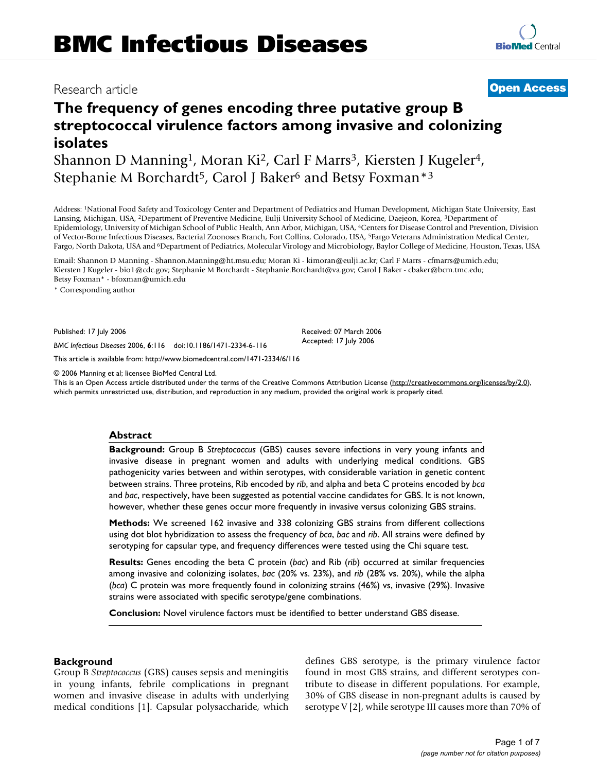## Research article **[Open Access](http://www.biomedcentral.com/info/about/charter/)**

**[BioMed](http://www.biomedcentral.com/)** Central

# **The frequency of genes encoding three putative group B streptococcal virulence factors among invasive and colonizing isolates**

Shannon D Manning<sup>1</sup>, Moran Ki<sup>2</sup>, Carl F Marrs<sup>3</sup>, Kiersten J Kugeler<sup>4</sup>, Stephanie M Borchardt<sup>5</sup>, Carol J Baker<sup>6</sup> and Betsy Foxman<sup>\*3</sup>

Address: 1National Food Safety and Toxicology Center and Department of Pediatrics and Human Development, Michigan State University, East Lansing, Michigan, USA, 2Department of Preventive Medicine, Eulji University School of Medicine, Daejeon, Korea, 3Department of Epidemiology, University of Michigan School of Public Health, Ann Arbor, Michigan, USA, 4Centers for Disease Control and Prevention, Division of Vector-Borne Infectious Diseases, Bacterial Zoonoses Branch, Fort Collins, Colorado, USA, 5Fargo Veterans Administration Medical Center, Fargo, North Dakota, USA and 6Department of Pediatrics, Molecular Virology and Microbiology, Baylor College of Medicine, Houston, Texas, USA

Email: Shannon D Manning - Shannon.Manning@ht.msu.edu; Moran Ki - kimoran@eulji.ac.kr; Carl F Marrs - cfmarrs@umich.edu; Kiersten J Kugeler - bio1@cdc.gov; Stephanie M Borchardt - Stephanie.Borchardt@va.gov; Carol J Baker - cbaker@bcm.tmc.edu; Betsy Foxman\* - bfoxman@umich.edu

\* Corresponding author

Published: 17 July 2006

*BMC Infectious Diseases* 2006, **6**:116 doi:10.1186/1471-2334-6-116

[This article is available from: http://www.biomedcentral.com/1471-2334/6/116](http://www.biomedcentral.com/1471-2334/6/116)

© 2006 Manning et al; licensee BioMed Central Ltd.

This is an Open Access article distributed under the terms of the Creative Commons Attribution License [\(http://creativecommons.org/licenses/by/2.0\)](http://creativecommons.org/licenses/by/2.0), which permits unrestricted use, distribution, and reproduction in any medium, provided the original work is properly cited.

Received: 07 March 2006 Accepted: 17 July 2006

#### **Abstract**

**Background:** Group B *Streptococcus* (GBS) causes severe infections in very young infants and invasive disease in pregnant women and adults with underlying medical conditions. GBS pathogenicity varies between and within serotypes, with considerable variation in genetic content between strains. Three proteins, Rib encoded by *rib*, and alpha and beta C proteins encoded by *bca* and *bac*, respectively, have been suggested as potential vaccine candidates for GBS. It is not known, however, whether these genes occur more frequently in invasive versus colonizing GBS strains.

**Methods:** We screened 162 invasive and 338 colonizing GBS strains from different collections using dot blot hybridization to assess the frequency of *bca*, *bac* and *rib*. All strains were defined by serotyping for capsular type, and frequency differences were tested using the Chi square test.

**Results:** Genes encoding the beta C protein (*bac*) and Rib (*rib*) occurred at similar frequencies among invasive and colonizing isolates, *bac* (20% vs. 23%), and *rib* (28% vs. 20%), while the alpha (*bca*) C protein was more frequently found in colonizing strains (46%) vs, invasive (29%). Invasive strains were associated with specific serotype/gene combinations.

**Conclusion:** Novel virulence factors must be identified to better understand GBS disease.

#### **Background**

Group B *Streptococcus* (GBS) causes sepsis and meningitis in young infants, febrile complications in pregnant women and invasive disease in adults with underlying medical conditions [1]. Capsular polysaccharide, which defines GBS serotype, is the primary virulence factor found in most GBS strains, and different serotypes contribute to disease in different populations. For example, 30% of GBS disease in non-pregnant adults is caused by serotype V [2], while serotype III causes more than 70% of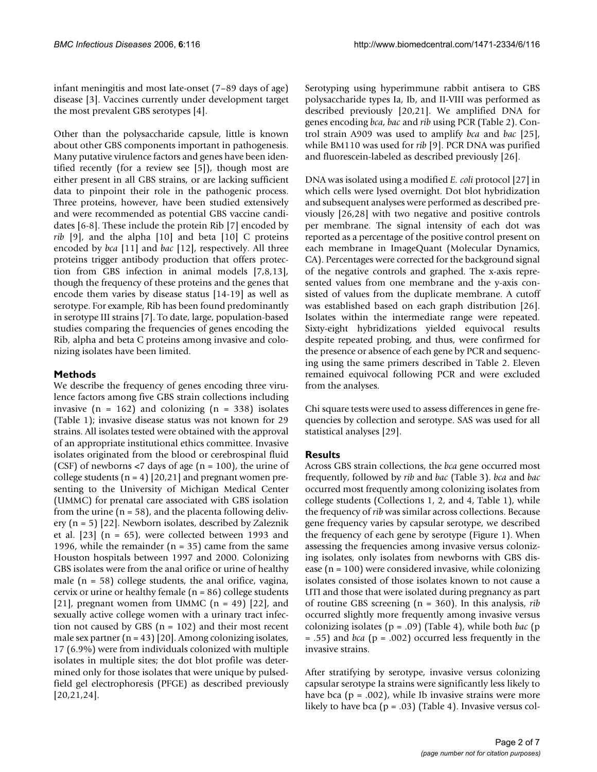infant meningitis and most late-onset (7–89 days of age) disease [3]. Vaccines currently under development target the most prevalent GBS serotypes [4].

Other than the polysaccharide capsule, little is known about other GBS components important in pathogenesis. Many putative virulence factors and genes have been identified recently (for a review see [5]), though most are either present in all GBS strains, or are lacking sufficient data to pinpoint their role in the pathogenic process. Three proteins, however, have been studied extensively and were recommended as potential GBS vaccine candidates [6-8]. These include the protein Rib [7] encoded by *rib* [9], and the alpha [10] and beta [10] C proteins encoded by *bca* [11] and *bac* [12], respectively. All three proteins trigger antibody production that offers protection from GBS infection in animal models [7,8,13], though the frequency of these proteins and the genes that encode them varies by disease status [14-19] as well as serotype. For example, Rib has been found predominantly in serotype III strains [7]. To date, large, population-based studies comparing the frequencies of genes encoding the Rib, alpha and beta C proteins among invasive and colonizing isolates have been limited.

#### **Methods**

We describe the frequency of genes encoding three virulence factors among five GBS strain collections including invasive  $(n = 162)$  and colonizing  $(n = 338)$  isolates (Table 1); invasive disease status was not known for 29 strains. All isolates tested were obtained with the approval of an appropriate institutional ethics committee. Invasive isolates originated from the blood or cerebrospinal fluid (CSF) of newborns <7 days of age (n = 100), the urine of college students  $(n = 4)$  [20,21] and pregnant women presenting to the University of Michigan Medical Center (UMMC) for prenatal care associated with GBS isolation from the urine  $(n = 58)$ , and the placenta following delivery (n = 5) [22]. Newborn isolates, described by Zaleznik et al.  $[23]$  (n = 65), were collected between 1993 and 1996, while the remainder  $(n = 35)$  came from the same Houston hospitals between 1997 and 2000. Colonizing GBS isolates were from the anal orifice or urine of healthy male ( $n = 58$ ) college students, the anal orifice, vagina, cervix or urine or healthy female ( $n = 86$ ) college students [21], pregnant women from UMMC  $(n = 49)$  [22], and sexually active college women with a urinary tract infection not caused by GBS  $(n = 102)$  and their most recent male sex partner  $(n = 43)$  [20]. Among colonizing isolates, 17 (6.9%) were from individuals colonized with multiple isolates in multiple sites; the dot blot profile was determined only for those isolates that were unique by pulsedfield gel electrophoresis (PFGE) as described previously [20,21,24].

Serotyping using hyperimmune rabbit antisera to GBS polysaccharide types Ia, Ib, and II-VIII was performed as described previously [20,21]. We amplified DNA for genes encoding *bca*, *bac* and *rib* using PCR (Table 2). Control strain A909 was used to amplify *bca* and *bac* [25], while BM110 was used for *rib* [9]. PCR DNA was purified and fluorescein-labeled as described previously [26].

DNA was isolated using a modified *E. coli* protocol [27] in which cells were lysed overnight. Dot blot hybridization and subsequent analyses were performed as described previously [26,28] with two negative and positive controls per membrane. The signal intensity of each dot was reported as a percentage of the positive control present on each membrane in ImageQuant (Molecular Dynamics, CA). Percentages were corrected for the background signal of the negative controls and graphed. The x-axis represented values from one membrane and the y-axis consisted of values from the duplicate membrane. A cutoff was established based on each graph distribution [26]. Isolates within the intermediate range were repeated. Sixty-eight hybridizations yielded equivocal results despite repeated probing, and thus, were confirmed for the presence or absence of each gene by PCR and sequencing using the same primers described in Table 2. Eleven remained equivocal following PCR and were excluded from the analyses.

Chi square tests were used to assess differences in gene frequencies by collection and serotype. SAS was used for all statistical analyses [29].

### **Results**

Across GBS strain collections, the *bca* gene occurred most frequently, followed by *rib* and *bac* (Table 3). *bca* and *bac* occurred most frequently among colonizing isolates from college students (Collections 1, 2, and 4, Table 1), while the frequency of *rib* was similar across collections. Because gene frequency varies by capsular serotype, we described the frequency of each gene by serotype (Figure 1). When assessing the frequencies among invasive versus colonizing isolates, only isolates from newborns with GBS disease (n = 100) were considered invasive, while colonizing isolates consisted of those isolates known to not cause a UTI and those that were isolated during pregnancy as part of routine GBS screening (n = 360). In this analysis, *rib* occurred slightly more frequently among invasive versus colonizing isolates (p = .09) (Table 4), while both *bac* (p = .55) and *bca* (p = .002) occurred less frequently in the invasive strains.

After stratifying by serotype, invasive versus colonizing capsular serotype Ia strains were significantly less likely to have bca ( $p = .002$ ), while Ib invasive strains were more likely to have bca ( $p = .03$ ) (Table 4). Invasive versus col-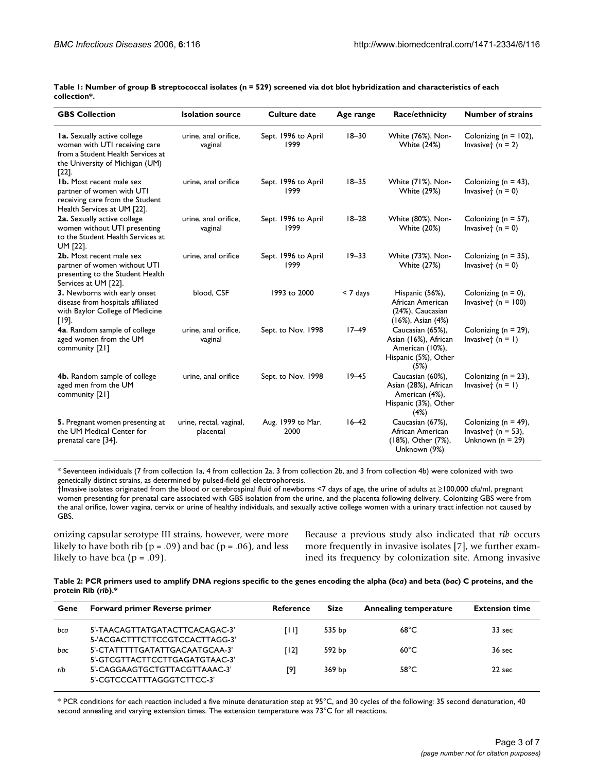| <b>GBS Collection</b>                                                                                                                                   | <b>Isolation source</b>              | <b>Culture date</b>         | Age range  | Race/ethnicity                                                                              | <b>Number of strains</b>                                                    |
|---------------------------------------------------------------------------------------------------------------------------------------------------------|--------------------------------------|-----------------------------|------------|---------------------------------------------------------------------------------------------|-----------------------------------------------------------------------------|
| <b>Ia.</b> Sexually active college<br>women with UTI receiving care<br>from a Student Health Services at<br>the University of Michigan (UM)<br>$[22]$ . | urine, anal orifice,<br>vaginal      | Sept. 1996 to April<br>1999 | $18 - 30$  | White (76%), Non-<br><b>White (24%)</b>                                                     | Colonizing ( $n = 102$ ),<br>Invasivet $(n = 2)$                            |
| <b>Ib.</b> Most recent male sex<br>partner of women with UTI<br>receiving care from the Student<br>Health Services at UM [22].                          | urine, anal orifice                  | Sept. 1996 to April<br>1999 | $18 - 35$  | White (71%), Non-<br><b>White (29%)</b>                                                     | Colonizing ( $n = 43$ ),<br>Invasive $(n = 0)$                              |
| 2a. Sexually active college<br>women without UTI presenting<br>to the Student Health Services at<br>UM [22].                                            | urine, anal orifice,<br>vaginal      | Sept. 1996 to April<br>1999 | $18 - 28$  | White (80%), Non-<br><b>White (20%)</b>                                                     | Colonizing ( $n = 57$ ),<br>Invasive $+$ (n = 0)                            |
| 2b. Most recent male sex<br>partner of women without UTI<br>presenting to the Student Health<br>Services at UM [22].                                    | urine, anal orifice                  | Sept. 1996 to April<br>1999 | $19 - 33$  | White (73%), Non-<br><b>White (27%)</b>                                                     | Colonizing ( $n = 35$ ),<br>Invasive $\uparrow$ (n = 0)                     |
| 3. Newborns with early onset<br>disease from hospitals affiliated<br>with Baylor College of Medicine<br>$[19]$ .                                        | blood, CSF                           | 1993 to 2000                | $< 7$ days | Hispanic (56%),<br>African American<br>(24%), Caucasian<br>$(16%)$ , Asian $(4%)$           | Colonizing $(n = 0)$ ,<br>Invasive $\uparrow$ (n = 100)                     |
| 4a. Random sample of college<br>aged women from the UM<br>community [21]                                                                                | urine, anal orifice,<br>vaginal      | Sept. to Nov. 1998          | $17 - 49$  | Caucasian (65%),<br>Asian (16%), African<br>American (10%),<br>Hispanic (5%), Other<br>(5%) | Colonizing ( $n = 29$ ),<br>Invasive $\uparrow$ (n = 1)                     |
| 4b. Random sample of college<br>aged men from the UM<br>community [21]                                                                                  | urine, anal orifice                  | Sept. to Nov. 1998          | $19 - 45$  | Caucasian (60%),<br>Asian (28%), African<br>American (4%),<br>Hispanic (3%), Other<br>(4%)  | Colonizing ( $n = 23$ ),<br>Invasive $\uparrow$ (n = 1)                     |
| 5. Pregnant women presenting at<br>the UM Medical Center for<br>prenatal care [34].                                                                     | urine, rectal, vaginal,<br>placental | Aug. 1999 to Mar.<br>2000   | $16 - 42$  | Caucasian (67%),<br>African American<br>(18%), Other (7%),<br>Unknown (9%)                  | Colonizing ( $n = 49$ ),<br>Invasive† ( $n = 53$ ),<br>Unknown ( $n = 29$ ) |

**Table 1: Number of group B streptococcal isolates (n = 529) screened via dot blot hybridization and characteristics of each collection\*.**

\* Seventeen individuals (7 from collection 1a, 4 from collection 2a, 3 from collection 2b, and 3 from collection 4b) were colonized with two genetically distinct strains, as determined by pulsed-field gel electrophoresis.

†Invasive isolates originated from the blood or cerebrospinal fluid of newborns <7 days of age, the urine of adults at ≥100,000 cfu/ml, pregnant women presenting for prenatal care associated with GBS isolation from the urine, and the placenta following delivery. Colonizing GBS were from the anal orifice, lower vagina, cervix or urine of healthy individuals, and sexually active college women with a urinary tract infection not caused by GBS.

onizing capsular serotype III strains, however, were more likely to have both rib ( $p = .09$ ) and bac ( $p = .06$ ), and less likely to have bca ( $p = .09$ ).

Because a previous study also indicated that *rib* occurs more frequently in invasive isolates [7], we further examined its frequency by colonization site. Among invasive

**Table 2: PCR primers used to amplify DNA regions specific to the genes encoding the alpha (***bca***) and beta (***bac***) C proteins, and the protein Rib (***rib***).\***

| Gene | Forward primer Reverse primer                                    | <b>Reference</b> | <b>Size</b> | <b>Annealing temperature</b> | <b>Extension time</b> |
|------|------------------------------------------------------------------|------------------|-------------|------------------------------|-----------------------|
| bca  | 5'-TAACAGTTATGATACTTCACAGAC-3'<br>5-'ACGACTTTCTTCCGTCCACTTAGG-3' | [11]             | 535 bp      | $68^{\circ}$ C               | 33 <sub>sec</sub>     |
| bac  | 5'-CTATTTTTGATATTGACAATGCAA-3'<br>5'-GTCGTTACTTCCTTGAGATGTAAC-3' | [12]             | 592 bp      | $60^{\circ}$ C               | 36 <sub>sec</sub>     |
| rib  | 5'-CAGGAAGTGCTGTTACGTTAAAC-3'<br>5'-CGTCCCATTTAGGGTCTTCC-3'      | [9]              | 369 bp      | $58^{\circ}$ C               | $22$ sec              |

\* PCR conditions for each reaction included a five minute denaturation step at 95°C, and 30 cycles of the following: 35 second denaturation, 40 second annealing and varying extension times. The extension temperature was 73°C for all reactions.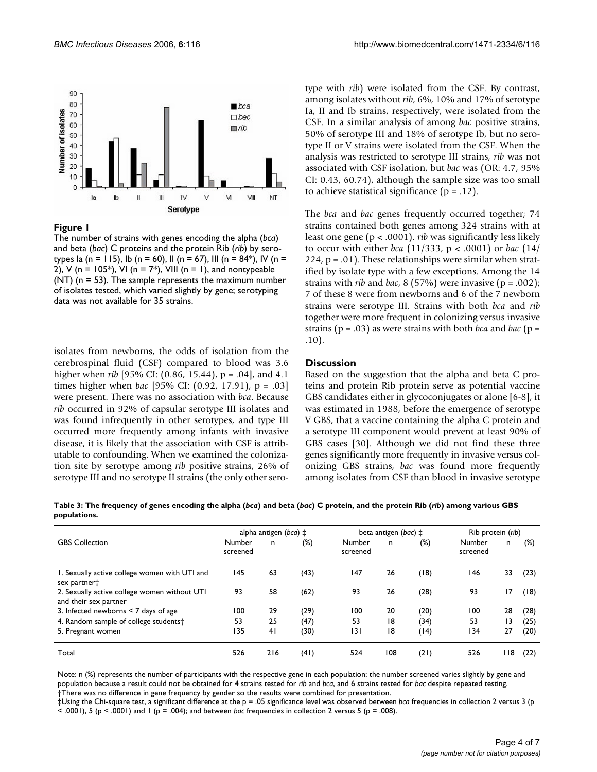

#### **Figure 1**

The number of strains with genes encoding the alpha (*bca*) and beta (*bac*) C proteins and the protein Rib (*rib*) by serotypes la (n = 115), lb (n = 60), ll (n = 67), lll (n = 84\*), lV (n = 2), V (n = 105<sup>\*</sup>), VI (n = 7<sup>\*</sup>), VIII (n = 1), and nontypeable (NT) ( $n = 53$ ). The sample represents the maximum number of isolates tested, which varied slightly by gene; serotyping data was not available for 35 strains.

isolates from newborns, the odds of isolation from the cerebrospinal fluid (CSF) compared to blood was 3.6 higher when *rib* [95% CI: (0.86, 15.44), p = .04], and 4.1 times higher when *bac* [95% CI: (0.92, 17.91), p = .03] were present. There was no association with *bca*. Because *rib* occurred in 92% of capsular serotype III isolates and was found infrequently in other serotypes, and type III occurred more frequently among infants with invasive disease, it is likely that the association with CSF is attributable to confounding. When we examined the colonization site by serotype among *rib* positive strains, 26% of serotype III and no serotype II strains (the only other serotype with *rib*) were isolated from the CSF. By contrast, among isolates without *rib*, 6%, 10% and 17% of serotype Ia, II and Ib strains, respectively, were isolated from the CSF. In a similar analysis of among *bac* positive strains, 50% of serotype III and 18% of serotype Ib, but no serotype II or V strains were isolated from the CSF. When the analysis was restricted to serotype III strains, *rib* was not associated with CSF isolation, but *bac* was (OR: 4.7, 95% CI: 0.43, 60.74), although the sample size was too small to achieve statistical significance ( $p = .12$ ).

The *bca* and *bac* genes frequently occurred together; 74 strains contained both genes among 324 strains with at least one gene (p < .0001). *rib* was significantly less likely to occur with either *bca* (11/333, p < .0001) or *bac* (14/ 224, p = .01). These relationships were similar when stratified by isolate type with a few exceptions. Among the 14 strains with *rib* and *bac*, 8 (57%) were invasive (p = .002); 7 of these 8 were from newborns and 6 of the 7 newborn strains were serotype III. Strains with both *bca* and *rib* together were more frequent in colonizing versus invasive strains (p = .03) as were strains with both *bca* and *bac* (p = .10).

#### **Discussion**

Based on the suggestion that the alpha and beta C proteins and protein Rib protein serve as potential vaccine GBS candidates either in glycoconjugates or alone [6-8], it was estimated in 1988, before the emergence of serotype V GBS, that a vaccine containing the alpha C protein and a serotype III component would prevent at least 90% of GBS cases [30]. Although we did not find these three genes significantly more frequently in invasive versus colonizing GBS strains, *bac* was found more frequently among isolates from CSF than blood in invasive serotype

**Table 3: The frequency of genes encoding the alpha (***bca***) and beta (***bac***) C protein, and the protein Rib (***rib***) among various GBS populations.**

|                                                                           |                    | alpha antigen (bca) ± |      |                    | beta antigen (bac) ‡ |        | Rib protein (rib)  |                 |        |
|---------------------------------------------------------------------------|--------------------|-----------------------|------|--------------------|----------------------|--------|--------------------|-----------------|--------|
| <b>GBS</b> Collection                                                     | Number<br>screened | n                     | (%)  | Number<br>screened | n                    | $(\%)$ | Number<br>screened | n               | $(\%)$ |
| 1. Sexually active college women with UTI and<br>sex partner <sup>+</sup> | 145                | 63                    | (43) | 147                | 26                   | (18)   | 146                | 33              | (23)   |
| 2. Sexually active college women without UTI<br>and their sex partner     | 93                 | 58                    | (62) | 93                 | 26                   | (28)   | 93                 | $\overline{17}$ | (18)   |
| 3. Infected newborns $\leq$ 7 days of age                                 | 100                | 29                    | (29) | 100                | 20                   | (20)   | 100                | 28              | (28)   |
| 4. Random sample of college students <sup>+</sup>                         | 53                 | 25                    | (47) | 53                 | 18                   | (34)   | 53                 | 3               | (25)   |
| 5. Pregnant women                                                         | 135                | 41                    | (30) | 131                | 18                   | (14)   | 134                | 27              | (20)   |
| Total                                                                     | 526                | 216                   | (41) | 524                | 108                  | (21)   | 526                | l 18            | (22)   |

Note: n (%) represents the number of participants with the respective gene in each population; the number screened varies slightly by gene and population because a result could not be obtained for 4 strains tested for *rib* and *bca*, and 6 strains tested for *bac* despite repeated testing. †There was no difference in gene frequency by gender so the results were combined for presentation.

‡Using the Chi-square test, a significant difference at the p = .05 significance level was observed between *bca* frequencies in collection 2 versus 3 (p < .0001), 5 (p < .0001) and 1 (p = .004); and between *bac* frequencies in collection 2 versus 5 (p = .008).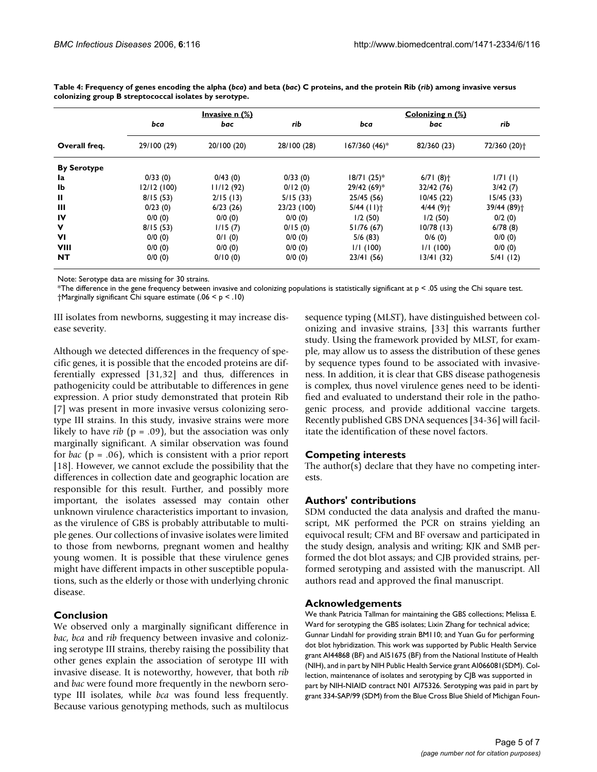|                    | Invasive n (%) |             |             | Colonizing $n$ $(\%)$    |                        |                          |  |
|--------------------|----------------|-------------|-------------|--------------------------|------------------------|--------------------------|--|
|                    | bca            | bac         | rib         | bca                      | bac                    | rib                      |  |
| Overall freq.      | 29/100 (29)    | 20/100 (20) | 28/100 (28) | $167/360 (46)$ *         | 82/360 (23)            | 72/360 (20) <sup>+</sup> |  |
| <b>By Serotype</b> |                |             |             |                          |                        |                          |  |
| la.                | 0/33(0)        | 0/43(0)     | 0/33(0)     | $18/71(25)$ *            | $6/71(8)$ <sup>+</sup> | $1/71$ (1)               |  |
| Ib                 | 12/12(100)     | 11/12(92)   | 0/12(0)     | $29/42(69)$ *            | 32/42 (76)             | 3/42(7)                  |  |
| Ш                  | 8/15(53)       | 2/15(13)    | 5/15(33)    | 25/45 (56)               | 10/45(22)              | 15/45(33)                |  |
| ш                  | 0/23(0)        | 6/23(26)    | 23/23 (100) | $5/44$ (11) <sup>+</sup> | $4/44(9)$ <sup>+</sup> | 39/44 (89) <sup>+</sup>  |  |
| 1V                 | 0/0(0)         | 0/0(0)      | 0/0(0)      | 1/2(50)                  | 1/2(50)                | 0/2(0)                   |  |
| v                  | 8/15(53)       | 1/15(7)     | 0/15(0)     | 51/76 (67)               | 10/78(13)              | 6/78(8)                  |  |
| νı                 | 0/0(0)         | $0/1$ (0)   | 0/0(0)      | 5/6(83)                  | 0/6(0)                 | 0/0(0)                   |  |
| <b>VIII</b>        | 0/0(0)         | 0/0(0)      | 0/0(0)      | 1/1(100)                 | 1/1(100)               | 0/0(0)                   |  |
| <b>NT</b>          | 0/0(0)         | 0/10(0)     | 0/0(0)      | 23/41(56)                | 13/41(32)              | 5/41(12)                 |  |

**Table 4: Frequency of genes encoding the alpha (***bca***) and beta (***bac***) C proteins, and the protein Rib (***rib***) among invasive versus colonizing group B streptococcal isolates by serotype.**

Note: Serotype data are missing for 30 strains.

\*The difference in the gene frequency between invasive and colonizing populations is statistically significant at p < .05 using the Chi square test. †Marginally significant Chi square estimate (.06 < p < .10)

III isolates from newborns, suggesting it may increase disease severity.

Although we detected differences in the frequency of specific genes, it is possible that the encoded proteins are differentially expressed [31,32] and thus, differences in pathogenicity could be attributable to differences in gene expression. A prior study demonstrated that protein Rib [7] was present in more invasive versus colonizing serotype III strains. In this study, invasive strains were more likely to have *rib* (p = .09), but the association was only marginally significant. A similar observation was found for *bac* (p = .06), which is consistent with a prior report [18]. However, we cannot exclude the possibility that the differences in collection date and geographic location are responsible for this result. Further, and possibly more important, the isolates assessed may contain other unknown virulence characteristics important to invasion, as the virulence of GBS is probably attributable to multiple genes. Our collections of invasive isolates were limited to those from newborns, pregnant women and healthy young women. It is possible that these virulence genes might have different impacts in other susceptible populations, such as the elderly or those with underlying chronic disease.

#### **Conclusion**

We observed only a marginally significant difference in *bac*, *bca* and *rib* frequency between invasive and colonizing serotype III strains, thereby raising the possibility that other genes explain the association of serotype III with invasive disease. It is noteworthy, however, that both *rib* and *bac* were found more frequently in the newborn serotype III isolates, while *bca* was found less frequently. Because various genotyping methods, such as multilocus sequence typing (MLST), have distinguished between colonizing and invasive strains, [33] this warrants further study. Using the framework provided by MLST, for example, may allow us to assess the distribution of these genes by sequence types found to be associated with invasiveness. In addition, it is clear that GBS disease pathogenesis is complex, thus novel virulence genes need to be identified and evaluated to understand their role in the pathogenic process, and provide additional vaccine targets. Recently published GBS DNA sequences [34-36] will facilitate the identification of these novel factors.

#### **Competing interests**

The author( $\overline{s}$ ) declare that they have no competing interests.

#### **Authors' contributions**

SDM conducted the data analysis and drafted the manuscript, MK performed the PCR on strains yielding an equivocal result; CFM and BF oversaw and participated in the study design, analysis and writing; KJK and SMB performed the dot blot assays; and CJB provided strains, performed serotyping and assisted with the manuscript. All authors read and approved the final manuscript.

#### **Acknowledgements**

We thank Patricia Tallman for maintaining the GBS collections; Melissa E. Ward for serotyping the GBS isolates; Lixin Zhang for technical advice; Gunnar Lindahl for providing strain BM110; and Yuan Gu for performing dot blot hybridization. This work was supported by Public Health Service grant AI44868 (BF) and AI51675 (BF) from the National Institute of Health (NIH), and in part by NIH Public Health Service grant AI066081(SDM). Collection, maintenance of isolates and serotyping by CJB was supported in part by NIH-NIAID contract N01 AI75326. Serotyping was paid in part by grant 334-SAP/99 (SDM) from the Blue Cross Blue Shield of Michigan Foun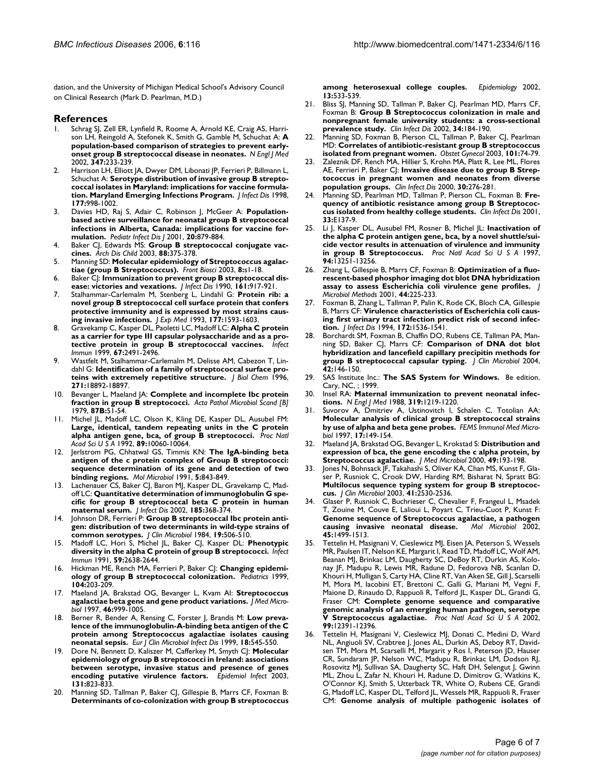dation, and the University of Michigan Medical School's Advisory Council on Clinical Research (Mark D. Pearlman, M.D.)

#### **References**

- Schrag SJ, Zell ER, Lynfield R, Roome A, Arnold KE, Craig AS, Harrison LH, Reingold A, Stefonek K, Smith G, Gamble M, Schuchat A: **[A](http://www.ncbi.nlm.nih.gov/entrez/query.fcgi?cmd=Retrieve&db=PubMed&dopt=Abstract&list_uids=12140298) [population-based comparison of strategies to prevent early](http://www.ncbi.nlm.nih.gov/entrez/query.fcgi?cmd=Retrieve&db=PubMed&dopt=Abstract&list_uids=12140298)[onset group B streptococcal disease in neonates.](http://www.ncbi.nlm.nih.gov/entrez/query.fcgi?cmd=Retrieve&db=PubMed&dopt=Abstract&list_uids=12140298)** *N Engl J Med* 2002, **347:**233-239.
- 2. Harrison LH, Elliott JA, Dwyer DM, Libonati JP, Ferrieri P, Billmann L, Schuchat A: **[Serotype distribution of invasive group B strepto](http://www.ncbi.nlm.nih.gov/entrez/query.fcgi?cmd=Retrieve&db=PubMed&dopt=Abstract&list_uids=9534974)[coccal isolates in Maryland: implications for vaccine formula](http://www.ncbi.nlm.nih.gov/entrez/query.fcgi?cmd=Retrieve&db=PubMed&dopt=Abstract&list_uids=9534974)[tion. Maryland Emerging Infections Program.](http://www.ncbi.nlm.nih.gov/entrez/query.fcgi?cmd=Retrieve&db=PubMed&dopt=Abstract&list_uids=9534974)** *J Infect Dis* 1998, **177:**998-1002.
- 3. Davies HD, Raj S, Adair C, Robinson J, McGeer A: **[Population](http://www.ncbi.nlm.nih.gov/entrez/query.fcgi?cmd=Retrieve&db=PubMed&dopt=Abstract&list_uids=11734768)[based active surveillance for neonatal group B streptococcal](http://www.ncbi.nlm.nih.gov/entrez/query.fcgi?cmd=Retrieve&db=PubMed&dopt=Abstract&list_uids=11734768) infections in Alberta, Canada: implications for vaccine for[mulation.](http://www.ncbi.nlm.nih.gov/entrez/query.fcgi?cmd=Retrieve&db=PubMed&dopt=Abstract&list_uids=11734768)** *Pediatr Infect Dis J* 2001, **20:**879-884.
- 4. Baker CJ, Edwards MS: **[Group B streptococcal conjugate vac](http://www.ncbi.nlm.nih.gov/entrez/query.fcgi?cmd=Retrieve&db=PubMed&dopt=Abstract&list_uids=12716700)[cines.](http://www.ncbi.nlm.nih.gov/entrez/query.fcgi?cmd=Retrieve&db=PubMed&dopt=Abstract&list_uids=12716700)** *Arch Dis Child* 2003, **88:**375-378.
- 5. Manning SD: **[Molecular epidemiology of Streptococcus agalac](http://www.ncbi.nlm.nih.gov/entrez/query.fcgi?cmd=Retrieve&db=PubMed&dopt=Abstract&list_uids=12456367)[tiae \(group B Streptococcus\).](http://www.ncbi.nlm.nih.gov/entrez/query.fcgi?cmd=Retrieve&db=PubMed&dopt=Abstract&list_uids=12456367)** *Front Biosci* 2003, **8:**s1-18.
- 6. Baker CJ: **[Immunization to prevent group B streptococcal dis](http://www.ncbi.nlm.nih.gov/entrez/query.fcgi?cmd=Retrieve&db=PubMed&dopt=Abstract&list_uids=2182731)[ease: victories and vexations.](http://www.ncbi.nlm.nih.gov/entrez/query.fcgi?cmd=Retrieve&db=PubMed&dopt=Abstract&list_uids=2182731)** *J Infect Dis* 1990, **161:**917-921.
- 7. Stalhammar-Carlemalm M, Stenberg L, Lindahl G: **[Protein rib: a](http://www.ncbi.nlm.nih.gov/entrez/query.fcgi?cmd=Retrieve&db=PubMed&dopt=Abstract&list_uids=8496678) [novel group B streptococcal cell surface protein that confers](http://www.ncbi.nlm.nih.gov/entrez/query.fcgi?cmd=Retrieve&db=PubMed&dopt=Abstract&list_uids=8496678) protective immunity and is expressed by most strains caus[ing invasive infections.](http://www.ncbi.nlm.nih.gov/entrez/query.fcgi?cmd=Retrieve&db=PubMed&dopt=Abstract&list_uids=8496678)** *J Exp Med* 1993, **177:**1593-1603.
- 8. Gravekamp C, Kasper DL, Paoletti LC, Madoff LC: **[Alpha C protein](http://www.ncbi.nlm.nih.gov/entrez/query.fcgi?cmd=Retrieve&db=PubMed&dopt=Abstract&list_uids=10225912) [as a carrier for type III capsular polysaccharide and as a pro](http://www.ncbi.nlm.nih.gov/entrez/query.fcgi?cmd=Retrieve&db=PubMed&dopt=Abstract&list_uids=10225912)[tective protein in group B streptococcal vaccines.](http://www.ncbi.nlm.nih.gov/entrez/query.fcgi?cmd=Retrieve&db=PubMed&dopt=Abstract&list_uids=10225912)** *Infect Immun* 1999, **67:**2491-2496.
- 9. Wastfelt M, Stalhammar-Carlemalm M, Delisse AM, Cabezon T, Lindahl G: **[Identification of a family of streptococcal surface pro](http://www.ncbi.nlm.nih.gov/entrez/query.fcgi?cmd=Retrieve&db=PubMed&dopt=Abstract&list_uids=8702550)[teins with extremely repetitive structure.](http://www.ncbi.nlm.nih.gov/entrez/query.fcgi?cmd=Retrieve&db=PubMed&dopt=Abstract&list_uids=8702550)** *J Biol Chem* 1996, **271:**18892-18897.
- 10. Bevanger L, Maeland JA: **[Complete and incomplete Ibc protein](http://www.ncbi.nlm.nih.gov/entrez/query.fcgi?cmd=Retrieve&db=PubMed&dopt=Abstract&list_uids=107722) [fraction in group B streptococci.](http://www.ncbi.nlm.nih.gov/entrez/query.fcgi?cmd=Retrieve&db=PubMed&dopt=Abstract&list_uids=107722)** *Acta Pathol Microbiol Scand [B]* 1979, **87B:**51-54.
- 11. Michel JL, Madoff LC, Olson K, Kling DE, Kasper DL, Ausubel FM: **[Large, identical, tandem repeating units in the C protein](http://www.ncbi.nlm.nih.gov/entrez/query.fcgi?cmd=Retrieve&db=PubMed&dopt=Abstract&list_uids=1438195) [alpha antigen gene, bca, of group B streptococci.](http://www.ncbi.nlm.nih.gov/entrez/query.fcgi?cmd=Retrieve&db=PubMed&dopt=Abstract&list_uids=1438195)** *Proc Natl Acad Sci U S A* 1992, **89:**10060-10064.
- 12. Jerlstrom PG, Chhatwal GS, Timmis KN: **[The IgA-binding beta](http://www.ncbi.nlm.nih.gov/entrez/query.fcgi?cmd=Retrieve&db=PubMed&dopt=Abstract&list_uids=1857207) [antigen of the c protein complex of Group B streptococci:](http://www.ncbi.nlm.nih.gov/entrez/query.fcgi?cmd=Retrieve&db=PubMed&dopt=Abstract&list_uids=1857207) sequence determination of its gene and detection of two [binding regions.](http://www.ncbi.nlm.nih.gov/entrez/query.fcgi?cmd=Retrieve&db=PubMed&dopt=Abstract&list_uids=1857207)** *Mol Microbiol* 1991, **5:**843-849.
- 13. Lachenauer CS, Baker CJ, Baron MJ, Kasper DL, Gravekamp C, Madoff LC: **[Quantitative determination of immunoglobulin G spe](http://www.ncbi.nlm.nih.gov/entrez/query.fcgi?cmd=Retrieve&db=PubMed&dopt=Abstract&list_uids=11807719)[cific for group B streptococcal beta C protein in human](http://www.ncbi.nlm.nih.gov/entrez/query.fcgi?cmd=Retrieve&db=PubMed&dopt=Abstract&list_uids=11807719) [maternal serum.](http://www.ncbi.nlm.nih.gov/entrez/query.fcgi?cmd=Retrieve&db=PubMed&dopt=Abstract&list_uids=11807719)** *J Infect Dis* 2002, **185:**368-374.
- 14. Johnson DR, Ferrieri P: **[Group B streptococcal Ibc protein anti](http://www.ncbi.nlm.nih.gov/entrez/query.fcgi?cmd=Retrieve&db=PubMed&dopt=Abstract&list_uids=6201506)[gen: distribution of two determinants in wild-type strains of](http://www.ncbi.nlm.nih.gov/entrez/query.fcgi?cmd=Retrieve&db=PubMed&dopt=Abstract&list_uids=6201506) [common serotypes.](http://www.ncbi.nlm.nih.gov/entrez/query.fcgi?cmd=Retrieve&db=PubMed&dopt=Abstract&list_uids=6201506)** *J Clin Microbiol* 1984, **19:**506-510.
- 15. Madoff LC, Hori S, Michel JL, Baker CJ, Kasper DL: **[Phenotypic](http://www.ncbi.nlm.nih.gov/entrez/query.fcgi?cmd=Retrieve&db=PubMed&dopt=Abstract&list_uids=1855984) [diversity in the alpha C protein of group B streptococci.](http://www.ncbi.nlm.nih.gov/entrez/query.fcgi?cmd=Retrieve&db=PubMed&dopt=Abstract&list_uids=1855984)** *Infect Immun* 1991, **59:**2638-2644.
- 16. Hickman ME, Rench MA, Ferrieri P, Baker CJ: [Changing epidemi](http://www.ncbi.nlm.nih.gov/entrez/query.fcgi?cmd=Retrieve&db=PubMed&dopt=Abstract&list_uids=10428995)**[ology of group B streptococcal colonization.](http://www.ncbi.nlm.nih.gov/entrez/query.fcgi?cmd=Retrieve&db=PubMed&dopt=Abstract&list_uids=10428995)** *Pediatrics* 1999, **104:**203-209.
- 17. Maeland JA, Brakstad OG, Bevanger L, Kvam AI: **[Streptococcus](http://www.ncbi.nlm.nih.gov/entrez/query.fcgi?cmd=Retrieve&db=PubMed&dopt=Abstract&list_uids=9402921) [agalactiae beta gene and gene product variations.](http://www.ncbi.nlm.nih.gov/entrez/query.fcgi?cmd=Retrieve&db=PubMed&dopt=Abstract&list_uids=9402921)** *J Med Microbiol* 1997, **46:**999-1005.
- 18. Berner R, Bender A, Rensing C, Forster J, Brandis M: **[Low preva](http://www.ncbi.nlm.nih.gov/entrez/query.fcgi?cmd=Retrieve&db=PubMed&dopt=Abstract&list_uids=10517191)[lence of the immunoglobulin-A-binding beta antigen of the C](http://www.ncbi.nlm.nih.gov/entrez/query.fcgi?cmd=Retrieve&db=PubMed&dopt=Abstract&list_uids=10517191) protein among Streptococcus agalactiae isolates causing [neonatal sepsis.](http://www.ncbi.nlm.nih.gov/entrez/query.fcgi?cmd=Retrieve&db=PubMed&dopt=Abstract&list_uids=10517191)** *Eur J Clin Microbiol Infect Dis* 1999, **18:**545-550.
- 19. Dore N, Bennett D, Kaliszer M, Cafferkey M, Smyth CJ: **[Molecular](http://www.ncbi.nlm.nih.gov/entrez/query.fcgi?cmd=Retrieve&db=PubMed&dopt=Abstract&list_uids=14596522) [epidemiology of group B streptococci in Ireland: associations](http://www.ncbi.nlm.nih.gov/entrez/query.fcgi?cmd=Retrieve&db=PubMed&dopt=Abstract&list_uids=14596522) between serotype, invasive status and presence of genes [encoding putative virulence factors.](http://www.ncbi.nlm.nih.gov/entrez/query.fcgi?cmd=Retrieve&db=PubMed&dopt=Abstract&list_uids=14596522)** *Epidemiol Infect* 2003, **131:**823-833.
- 20. Manning SD, Tallman P, Baker CJ, Gillespie B, Marrs CF, Foxman B: **[Determinants of co-colonization with group B streptococcus](http://www.ncbi.nlm.nih.gov/entrez/query.fcgi?cmd=Retrieve&db=PubMed&dopt=Abstract&list_uids=12192222)**

**[among heterosexual college couples.](http://www.ncbi.nlm.nih.gov/entrez/query.fcgi?cmd=Retrieve&db=PubMed&dopt=Abstract&list_uids=12192222)** *Epidemiology* 2002, **13:**533-539.

- 21. Bliss SJ, Manning SD, Tallman P, Baker CJ, Pearlman MD, Marrs CF, Foxman B: **[Group B Streptococcus colonization in male and](http://www.ncbi.nlm.nih.gov/entrez/query.fcgi?cmd=Retrieve&db=PubMed&dopt=Abstract&list_uids=11740706) [nonpregnant female university students: a cross-sectional](http://www.ncbi.nlm.nih.gov/entrez/query.fcgi?cmd=Retrieve&db=PubMed&dopt=Abstract&list_uids=11740706) [prevalence study.](http://www.ncbi.nlm.nih.gov/entrez/query.fcgi?cmd=Retrieve&db=PubMed&dopt=Abstract&list_uids=11740706)** *Clin Infect Dis* 2002, **34:**184-190.
- 22. Manning SD, Foxman B, Pierson CL, Tallman P, Baker CJ, Pearlman MD: **[Correlates of antibiotic-resistant group B streptococcus](http://www.ncbi.nlm.nih.gov/entrez/query.fcgi?cmd=Retrieve&db=PubMed&dopt=Abstract&list_uids=12517649) [isolated from pregnant women.](http://www.ncbi.nlm.nih.gov/entrez/query.fcgi?cmd=Retrieve&db=PubMed&dopt=Abstract&list_uids=12517649)** *Obstet Gynecol* 2003, **101:**74-79.
- 23. Zaleznik DF, Rench MA, Hillier S, Krohn MA, Platt R, Lee ML, Flores AE, Ferrieri P, Baker C|: Invasive disease due to group **B Strep[tococcus in pregnant women and neonates from diverse](http://www.ncbi.nlm.nih.gov/entrez/query.fcgi?cmd=Retrieve&db=PubMed&dopt=Abstract&list_uids=10671328) [population groups.](http://www.ncbi.nlm.nih.gov/entrez/query.fcgi?cmd=Retrieve&db=PubMed&dopt=Abstract&list_uids=10671328)** *Clin Infect Dis* 2000, **30:**276-281.
- 24. Manning SD, Pearlman MD, Tallman P, Pierson CL, Foxman B: **[Fre](http://www.ncbi.nlm.nih.gov/entrez/query.fcgi?cmd=Retrieve&db=PubMed&dopt=Abstract&list_uids=11698992)[quency of antibiotic resistance among group B Streptococ](http://www.ncbi.nlm.nih.gov/entrez/query.fcgi?cmd=Retrieve&db=PubMed&dopt=Abstract&list_uids=11698992)[cus isolated from healthy college students.](http://www.ncbi.nlm.nih.gov/entrez/query.fcgi?cmd=Retrieve&db=PubMed&dopt=Abstract&list_uids=11698992)** *Clin Infect Dis* 2001, **33:**E137-9.
- 25. Li J, Kasper DL, Ausubel FM, Rosner B, Michel JL: **[Inactivation of](http://www.ncbi.nlm.nih.gov/entrez/query.fcgi?cmd=Retrieve&db=PubMed&dopt=Abstract&list_uids=9371832) [the alpha C protein antigen gene, bca, by a novel shuttle/sui](http://www.ncbi.nlm.nih.gov/entrez/query.fcgi?cmd=Retrieve&db=PubMed&dopt=Abstract&list_uids=9371832)cide vector results in attenuation of virulence and immunity [in group B Streptococcus.](http://www.ncbi.nlm.nih.gov/entrez/query.fcgi?cmd=Retrieve&db=PubMed&dopt=Abstract&list_uids=9371832)** *Proc Natl Acad Sci U S A* 1997, **94:**13251-13256.
- 26. Zhang L, Gillespie B, Marrs CF, Foxman B: **[Optimization of a fluo](http://www.ncbi.nlm.nih.gov/entrez/query.fcgi?cmd=Retrieve&db=PubMed&dopt=Abstract&list_uids=11240045)[rescent-based phosphor imaging dot blot DNA hybridization](http://www.ncbi.nlm.nih.gov/entrez/query.fcgi?cmd=Retrieve&db=PubMed&dopt=Abstract&list_uids=11240045) [assay to assess Escherichia coli virulence gene profiles.](http://www.ncbi.nlm.nih.gov/entrez/query.fcgi?cmd=Retrieve&db=PubMed&dopt=Abstract&list_uids=11240045)** *J Microbiol Methods* 2001, **44:**225-233.
- Foxman B, Zhang L, Tallman P, Palin K, Rode CK, Bloch CA, Gillespie B, Marrs CF: **Virulence characteristics of Escherichia coli causing first urinary tract infection predict risk of second infection.** *J Infect Dis* 1994, **172:**1536-1541.
- 28. Borchardt SM, Foxman B, Chaffin DO, Rubens CE, Tallman PA, Manning SD, Baker CJ, Marrs CF: **[Comparison of DNA dot blot](http://www.ncbi.nlm.nih.gov/entrez/query.fcgi?cmd=Retrieve&db=PubMed&dopt=Abstract&list_uids=14715745) [hybridization and lancefield capillary precipitin methods for](http://www.ncbi.nlm.nih.gov/entrez/query.fcgi?cmd=Retrieve&db=PubMed&dopt=Abstract&list_uids=14715745) [group B streptococcal capsular typing.](http://www.ncbi.nlm.nih.gov/entrez/query.fcgi?cmd=Retrieve&db=PubMed&dopt=Abstract&list_uids=14715745)** *J Clin Microbiol* 2004, **42:**146-150.
- 29. SAS Institute Inc.: **The SAS System for Windows.** 8e edition. Cary, NC, ; 1999.
- 30. Insel RA: **[Maternal immunization to prevent neonatal infec](http://www.ncbi.nlm.nih.gov/entrez/query.fcgi?cmd=Retrieve&db=PubMed&dopt=Abstract&list_uids=3173459)[tions.](http://www.ncbi.nlm.nih.gov/entrez/query.fcgi?cmd=Retrieve&db=PubMed&dopt=Abstract&list_uids=3173459)** *N Engl J Med* 1988, **319:**1219-1220.
- Suvorov A, Dmitriev A, Ustinovitch I, Schalen C, Totolian AA: **[Molecular analysis of clinical group B streptococcal strains](http://www.ncbi.nlm.nih.gov/entrez/query.fcgi?cmd=Retrieve&db=PubMed&dopt=Abstract&list_uids=9093835) [by use of alpha and beta gene probes.](http://www.ncbi.nlm.nih.gov/entrez/query.fcgi?cmd=Retrieve&db=PubMed&dopt=Abstract&list_uids=9093835)** *FEMS Immunol Med Microbiol* 1997, **17:**149-154.
- 32. Maeland JA, Brakstad OG, Bevanger L, Krokstad S: **[Distribution and](http://www.ncbi.nlm.nih.gov/entrez/query.fcgi?cmd=Retrieve&db=PubMed&dopt=Abstract&list_uids=10670571) [expression of bca, the gene encoding the c alpha protein, by](http://www.ncbi.nlm.nih.gov/entrez/query.fcgi?cmd=Retrieve&db=PubMed&dopt=Abstract&list_uids=10670571) [Streptococcus agalactiae.](http://www.ncbi.nlm.nih.gov/entrez/query.fcgi?cmd=Retrieve&db=PubMed&dopt=Abstract&list_uids=10670571)** *J Med Microbiol* 2000, **49:**193-198.
- 33. Jones N, Bohnsack JF, Takahashi S, Oliver KA, Chan MS, Kunst F, Glaser P, Rusniok C, Crook DW, Harding RM, Bisharat N, Spratt BG: **[Multilocus sequence typing system for group B streptococ](http://www.ncbi.nlm.nih.gov/entrez/query.fcgi?cmd=Retrieve&db=PubMed&dopt=Abstract&list_uids=12791877)[cus.](http://www.ncbi.nlm.nih.gov/entrez/query.fcgi?cmd=Retrieve&db=PubMed&dopt=Abstract&list_uids=12791877)** *J Clin Microbiol* 2003, **41:**2530-2536.
- 34. Glaser P, Rusniok C, Buchrieser C, Chevalier F, Frangeul L, Msadek T, Zouine M, Couve E, Lalioui L, Poyart C, Trieu-Cuot P, Kunst F: **[Genome sequence of Streptococcus agalactiae, a pathogen](http://www.ncbi.nlm.nih.gov/entrez/query.fcgi?cmd=Retrieve&db=PubMed&dopt=Abstract&list_uids=12354221) [causing invasive neonatal disease.](http://www.ncbi.nlm.nih.gov/entrez/query.fcgi?cmd=Retrieve&db=PubMed&dopt=Abstract&list_uids=12354221)** *Mol Microbiol* 2002, **45:**1499-1513.
- 35. Tettelin H, Masignani V, Cieslewicz MJ, Eisen JA, Peterson S, Wessels MR, Paulsen IT, Nelson KE, Margarit I, Read TD, Madoff LC, Wolf AM, Beanan MJ, Brinkac LM, Daugherty SC, DeBoy RT, Durkin AS, Kolonay JF, Madupu R, Lewis MR, Radune D, Fedorova NB, Scanlan D, Khouri H, Mulligan S, Carty HA, Cline RT, Van Aken SE, Gill J, Scarselli M, Mora M, Iacobini ET, Brettoni C, Galli G, Mariani M, Vegni F, Maione D, Rinaudo D, Rappuoli R, Telford JL, Kasper DL, Grandi G, Fraser CM: **[Complete genome sequence and comparative](http://www.ncbi.nlm.nih.gov/entrez/query.fcgi?cmd=Retrieve&db=PubMed&dopt=Abstract&list_uids=12200547) [genomic analysis of an emerging human pathogen, serotype](http://www.ncbi.nlm.nih.gov/entrez/query.fcgi?cmd=Retrieve&db=PubMed&dopt=Abstract&list_uids=12200547) [V Streptococcus agalactiae.](http://www.ncbi.nlm.nih.gov/entrez/query.fcgi?cmd=Retrieve&db=PubMed&dopt=Abstract&list_uids=12200547)** *Proc Natl Acad Sci U S A* 2002, **99:**12391-12396.
- 36. Tettelin H, Masignani V, Cieslewicz MJ, Donati C, Medini D, Ward NL, Angiuoli SV, Crabtree J, Jones AL, Durkin AS, Deboy RT, Davidsen TM, Mora M, Scarselli M, Margarit y Ros I, Peterson JD, Hauser CR, Sundaram JP, Nelson WC, Madupu R, Brinkac LM, Dodson RJ, Rosovitz MJ, Sullivan SA, Daugherty SC, Haft DH, Selengut J, Gwinn ML, Zhou L, Zafar N, Khouri H, Radune D, Dimitrov G, Watkins K, O'Connor KJ, Smith S, Utterback TR, White O, Rubens CE, Grandi G, Madoff LC, Kasper DL, Telford JL, Wessels MR, Rappuoli R, Fraser CM: **[Genome analysis of multiple pathogenic isolates of](http://www.ncbi.nlm.nih.gov/entrez/query.fcgi?cmd=Retrieve&db=PubMed&dopt=Abstract&list_uids=16172379)**